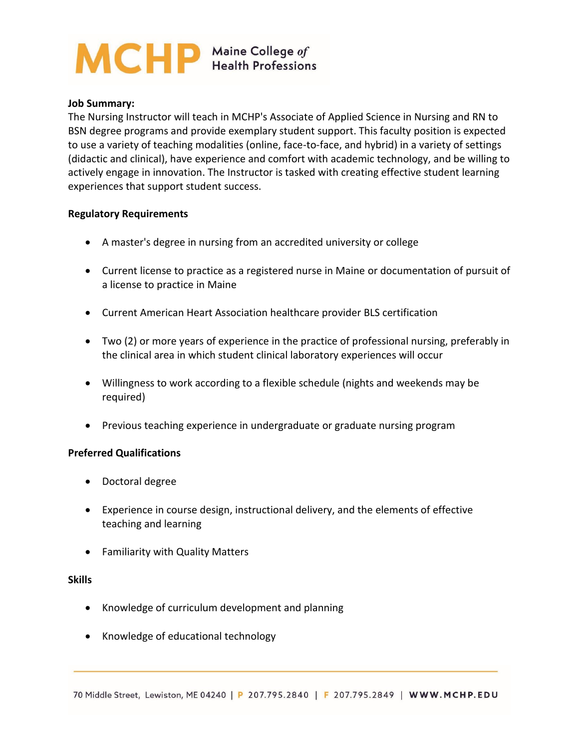# MCHP Maine College of

### **Job Summary:**

The Nursing Instructor will teach in MCHP's Associate of Applied Science in Nursing and RN to BSN degree programs and provide exemplary student support. This faculty position is expected to use a variety of teaching modalities (online, face-to-face, and hybrid) in a variety of settings (didactic and clinical), have experience and comfort with academic technology, and be willing to actively engage in innovation. The Instructor is tasked with creating effective student learning experiences that support student success.

#### **Regulatory Requirements**

- A master's degree in nursing from an accredited university or college
- Current license to practice as a registered nurse in Maine or documentation of pursuit of a license to practice in Maine
- Current American Heart Association healthcare provider BLS certification
- Two (2) or more years of experience in the practice of professional nursing, preferably in the clinical area in which student clinical laboratory experiences will occur
- Willingness to work according to a flexible schedule (nights and weekends may be required)
- Previous teaching experience in undergraduate or graduate nursing program

## **Preferred Qualifications**

- Doctoral degree
- Experience in course design, instructional delivery, and the elements of effective teaching and learning
- Familiarity with Quality Matters

#### **Skills**

- Knowledge of curriculum development and planning
- Knowledge of educational technology